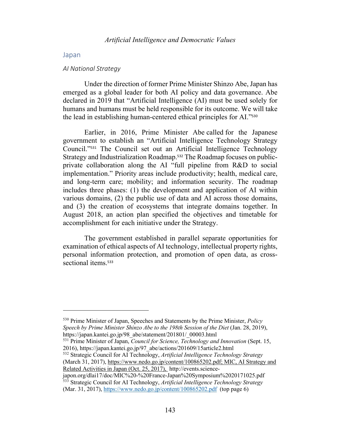#### Japan

#### *AI National Strategy*

Under the direction of former Prime Minister Shinzo Abe, Japan has emerged as a global leader for both AI policy and data governance. Abe declared in 2019 that "Artificial Intelligence (AI) must be used solely for humans and humans must be held responsible for its outcome. We will take the lead in establishing human-centered ethical principles for AI."<sup>530</sup>

Earlier, in 2016, Prime Minister Abe called for the Japanese government to establish an "Artificial Intelligence Technology Strategy Council."<sup>531</sup> The Council set out an Artificial Intelligence Technology Strategy and Industrialization Roadmap. <sup>532</sup> The Roadmap focuses on publicprivate collaboration along the AI "full pipeline from R&D to social implementation." Priority areas include productivity; health, medical care, and long-term care; mobility; and information security. The roadmap includes three phases: (1) the development and application of AI within various domains, (2) the public use of data and AI across those domains, and (3) the creation of ecosystems that integrate domains together. In August 2018, an action plan specified the objectives and timetable for accomplishment for each initiative under the Strategy.

The government established in parallel separate opportunities for examination of ethical aspects of AI technology, intellectual property rights, personal information protection, and promotion of open data, as crosssectional items. 533

<sup>532</sup> Strategic Council for AI Technology, *Artificial Intelligence Technology Strategy* (March 31, 2017), https://www.nedo.go.jp/content/100865202.pdf; MIC, AI Strategy and Related Activities in Japan (Oct. 25, 2017), http://events.science-

japon.org/dlai17/doc/MIC%20-%20France-Japan%20Symposium%2020171025.pdf <sup>533</sup> Strategic Council for AI Technology, *Artificial Intelligence Technology Strategy*  (Mar. 31, 2017), https://www.nedo.go.jp/content/100865202.pdf (top page 6)

<sup>530</sup> Prime Minister of Japan, Speeches and Statements by the Prime Minister, *Policy Speech by Prime Minister Shinzo Abe to the 198th Session of the Diet* (Jan. 28, 2019), https://japan.kantei.go.jp/98\_abe/statement/201801/\_00003.html

<sup>531</sup> Prime Minister of Japan, *Council for Science, Technology and Innovation* (Sept. 15, 2016), https://japan.kantei.go.jp/97\_abe/actions/201609/15article2.html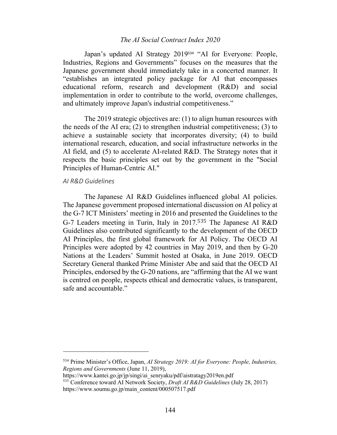Japan's updated AI Strategy 2019<sup>534</sup> "AI for Everyone: People, Industries, Regions and Governments" focuses on the measures that the Japanese government should immediately take in a concerted manner. It "establishes an integrated policy package for AI that encompasses educational reform, research and development (R&D) and social implementation in order to contribute to the world, overcome challenges, and ultimately improve Japan's industrial competitiveness."

The 2019 strategic objectives are: (1) to align human resources with the needs of the AI era; (2) to strengthen industrial competitiveness; (3) to achieve a sustainable society that incorporates diversity; (4) to build international research, education, and social infrastructure networks in the AI field, and (5) to accelerate AI-related R&D. The Strategy notes that it respects the basic principles set out by the government in the "Social Principles of Human-Centric AI."

### *AI R&D Guidelines*

The Japanese AI R&D Guidelines influenced global AI policies. The Japanese government proposed international discussion on AI policy at the G-7 ICT Ministers' meeting in 2016 and presented the Guidelines to the G-7 Leaders meeting in Turin, Italy in 2017.<sup>535</sup> The Japanese AI R&D Guidelines also contributed significantly to the development of the OECD AI Principles, the first global framework for AI Policy. The OECD AI Principles were adopted by 42 countries in May 2019, and then by G-20 Nations at the Leaders' Summit hosted at Osaka, in June 2019. OECD Secretary General thanked Prime Minister Abe and said that the OECD AI Principles, endorsed by the G-20 nations, are "affirming that the AI we want is centred on people, respects ethical and democratic values, is transparent, safe and accountable."

<sup>534</sup> Prime Minister's Office, Japan, *AI Strategy 2019: AI for Everyone: People, Industries, Regions and Governments* (June 11, 2019),

https://www.kantei.go.jp/jp/singi/ai\_senryaku/pdf/aistratagy2019en.pdf

<sup>535</sup> Conference toward AI Network Society, *Draft AI R&D Guidelines* (July 28, 2017) https://www.soumu.go.jp/main\_content/000507517.pdf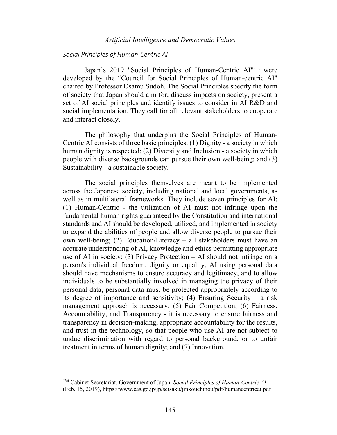### *Social Principles of Human-Centric AI*

Japan's 2019 "Social Principles of Human-Centric AI"<sup>536</sup> were developed by the "Council for Social Principles of Human-centric AI" chaired by Professor Osamu Sudoh. The Social Principles specify the form of society that Japan should aim for, discuss impacts on society, present a set of AI social principles and identify issues to consider in AI R&D and social implementation. They call for all relevant stakeholders to cooperate and interact closely.

The philosophy that underpins the Social Principles of Human-Centric AI consists of three basic principles: (1) Dignity - a society in which human dignity is respected; (2) Diversity and Inclusion - a society in which people with diverse backgrounds can pursue their own well-being; and (3) Sustainability - a sustainable society.

The social principles themselves are meant to be implemented across the Japanese society, including national and local governments, as well as in multilateral frameworks. They include seven principles for AI: (1) Human-Centric - the utilization of AI must not infringe upon the fundamental human rights guaranteed by the Constitution and international standards and AI should be developed, utilized, and implemented in society to expand the abilities of people and allow diverse people to pursue their own well-being; (2) Education/Literacy – all stakeholders must have an accurate understanding of AI, knowledge and ethics permitting appropriate use of AI in society; (3) Privacy Protection  $-$  AI should not infringe on a person's individual freedom, dignity or equality, AI using personal data should have mechanisms to ensure accuracy and legitimacy, and to allow individuals to be substantially involved in managing the privacy of their personal data, personal data must be protected appropriately according to its degree of importance and sensitivity; (4) Ensuring Security – a risk management approach is necessary; (5) Fair Competition; (6) Fairness, Accountability, and Transparency - it is necessary to ensure fairness and transparency in decision-making, appropriate accountability for the results, and trust in the technology, so that people who use AI are not subject to undue discrimination with regard to personal background, or to unfair treatment in terms of human dignity; and (7) Innovation.

<sup>536</sup> Cabinet Secretariat, Government of Japan, *Social Principles of Human-Centric AI* (Feb. 15, 2019), https://www.cas.go.jp/jp/seisaku/jinkouchinou/pdf/humancentricai.pdf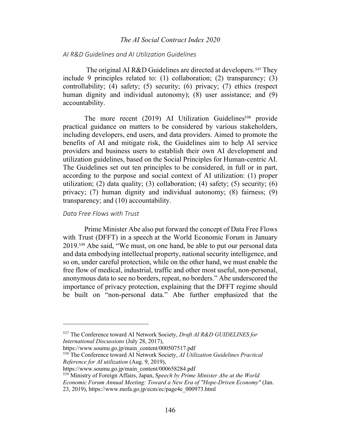# *AI R&D Guidelines and AI Utilization Guidelines*

The original AI R&D Guidelines are directed at developers. <sup>537</sup> They include 9 principles related to: (1) collaboration; (2) transparency; (3) controllability; (4) safety; (5) security; (6) privacy; (7) ethics (respect human dignity and individual autonomy); (8) user assistance; and (9) accountability.

The more recent (2019) AI Utilization Guidelines<sup>538</sup> provide practical guidance on matters to be considered by various stakeholders, including developers, end users, and data providers. Aimed to promote the benefits of AI and mitigate risk, the Guidelines aim to help AI service providers and business users to establish their own AI development and utilization guidelines, based on the Social Principles for Human-centric AI. The Guidelines set out ten principles to be considered, in full or in part, according to the purpose and social context of AI utilization: (1) proper utilization; (2) data quality; (3) collaboration; (4) safety; (5) security; (6) privacy; (7) human dignity and individual autonomy; (8) fairness; (9) transparency; and (10) accountability.

### *Data Free Flows with Trust*

Prime Minister Abe also put forward the concept of Data Free Flows with Trust (DFFT) in a speech at the World Economic Forum in January 2019.<sup>539</sup> Abe said, "We must, on one hand, be able to put our personal data and data embodying intellectual property, national security intelligence, and so on, under careful protection, while on the other hand, we must enable the free flow of medical, industrial, traffic and other most useful, non-personal, anonymous data to see no borders, repeat, no borders." Abe underscored the importance of privacy protection, explaining that the DFFT regime should be built on "non-personal data." Abe further emphasized that the

<sup>537</sup> The Conference toward AI Network Society, *Draft AI R&D GUIDELINES for International Discussions* (July 28, 2017),

https://www.soumu.go.jp/main\_content/000507517.pdf

<sup>538</sup> The Conference toward AI Network Society, *AI Utilization Guidelines Practical Reference for AI utilization* (Aug. 9, 2019),

https://www.soumu.go.jp/main\_content/000658284.pdf

<sup>539</sup> Ministry of Foreign Affairs, Japan, S*peech by Prime Minister Abe at the World Economic Forum Annual Meeting: Toward a New Era of "Hope-Driven Economy"* (Jan. 23, 2019), https://www.mofa.go.jp/ecm/ec/page4e\_000973.html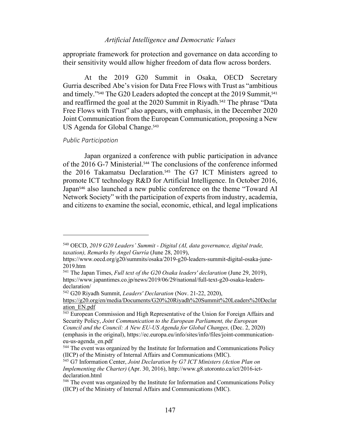appropriate framework for protection and governance on data according to their sensitivity would allow higher freedom of data flow across borders.

At the 2019 G20 Summit in Osaka, OECD Secretary Gurria described Abe's vision for Data Free Flows with Trust as "ambitious and timely."<sup>540</sup> The G20 Leaders adopted the concept at the 2019 Summit,<sup>541</sup> and reaffirmed the goal at the 2020 Summit in Riyadh. <sup>542</sup> The phrase "Data Free Flows with Trust" also appears, with emphasis, in the December 2020 Joint Communication from the European Communication, proposing a New US Agenda for Global Change.<sup>543</sup>

#### *Public Participation*

Japan organized a conference with public participation in advance of the 2016 G-7 Ministerial. <sup>544</sup> The conclusions of the conference informed the 2016 Takamatsu Declaration. <sup>545</sup> The G7 ICT Ministers agreed to promote ICT technology R&D for Artificial Intelligence. In October 2016, Japan<sup>546</sup> also launched a new public conference on the theme "Toward AI Network Society" with the participation of experts from industry, academia, and citizens to examine the social, economic, ethical, and legal implications

<sup>542</sup> G20 Riyadh Summit, *Leaders' Declaration* (Nov. 21-22, 2020),

<sup>540</sup> OECD, *2019 G20 Leaders' Summit - Digital (AI, data governance, digital trade, taxation), Remarks by Angel Gurría* (June 28, 2019),

https://www.oecd.org/g20/summits/osaka/2019-g20-leaders-summit-digital-osaka-june-2019.htm

<sup>541</sup> The Japan Times, *Full text of the G20 Osaka leaders' declaration* (June 29, 2019), https://www.japantimes.co.jp/news/2019/06/29/national/full-text-g20-osaka-leadersdeclaration/

https://g20.org/en/media/Documents/G20%20Riyadh%20Summit%20Leaders%20Declar ation\_EN.pdf

<sup>543</sup> European Commission and High Representative of the Union for Foreign Affairs and Security Policy, *Joint Communication to the European Parliament, the European Council and the Council: A New EU-US Agenda for Global Changes, (Dec. 2, 2020)* (emphasis in the original), https://ec.europa.eu/info/sites/info/files/joint-communicationeu-us-agenda\_en.pdf

<sup>&</sup>lt;sup>544</sup> The event was organized by the Institute for Information and Communications Policy (IICP) of the Ministry of Internal Affairs and Communications (MIC).

<sup>545</sup> G7 Information Center, *Joint Declaration by G7 ICT Ministers (Action Plan on Implementing the Charter)* (Apr. 30, 2016), http://www.g8.utoronto.ca/ict/2016-ictdeclaration.html

<sup>546</sup> The event was organized by the Institute for Information and Communications Policy (IICP) of the Ministry of Internal Affairs and Communications (MIC).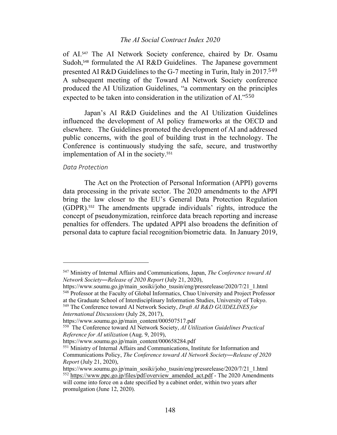of AI. <sup>547</sup> The AI Network Society conference, chaired by Dr. Osamu Sudoh,<sup>548</sup> formulated the AI R&D Guidelines. The Japanese government presented AI R&D Guidelines to the G-7 meeting in Turin, Italy in 2017.<sup>549</sup> A subsequent meeting of the Toward AI Network Society conference produced the AI Utilization Guidelines, "a commentary on the principles expected to be taken into consideration in the utilization of AI."<sup>550</sup>

Japan's AI R&D Guidelines and the AI Utilization Guidelines influenced the development of AI policy frameworks at the OECD and elsewhere. The Guidelines promoted the development of AI and addressed public concerns, with the goal of building trust in the technology. The Conference is continuously studying the safe, secure, and trustworthy implementation of AI in the society.<sup>551</sup>

### *Data Protection*

The Act on the Protection of Personal Information (APPI) governs data processing in the private sector. The 2020 amendments to the APPI bring the law closer to the EU's General Data Protection Regulation (GDPR).<sup>552</sup> The amendments upgrade individuals' rights, introduce the concept of pseudonymization, reinforce data breach reporting and increase penalties for offenders. The updated APPI also broadens the definition of personal data to capture facial recognition/biometric data. In January 2019,

https://www.soumu.go.jp/main\_sosiki/joho\_tsusin/eng/pressrelease/2020/7/21\_1.html <sup>548</sup> Professor at the Faculty of Global Informatics, Chuo University and Project Professor at the Graduate School of Interdisciplinary Information Studies, University of Tokyo.

<sup>547</sup> Ministry of Internal Affairs and Communications, Japan, *The Conference toward AI Network Society―Release of 2020 Report* (July 21, 2020),

<sup>549</sup> The Conference toward AI Network Society, *Draft AI R&D GUIDELINES for International Discussions* (July 28, 2017),

https://www.soumu.go.jp/main\_content/000507517.pdf

<sup>550</sup> The Conference toward AI Network Society, *AI Utilization Guidelines Practical Reference for AI utilization* (Aug. 9, 2019),

https://www.soumu.go.jp/main\_content/000658284.pdf

<sup>551</sup> Ministry of Internal Affairs and Communications, Institute for Information and Communications Policy, *The Conference toward AI Network Society―Release of 2020 Report* (July 21, 2020),

https://www.soumu.go.jp/main\_sosiki/joho\_tsusin/eng/pressrelease/2020/7/21\_1.html  $^{552}$  https://www.ppc.go.jp/files/pdf/overview\_amended\_act.pdf - The 2020 Amendments will come into force on a date specified by a cabinet order, within two years after promulgation (June 12, 2020).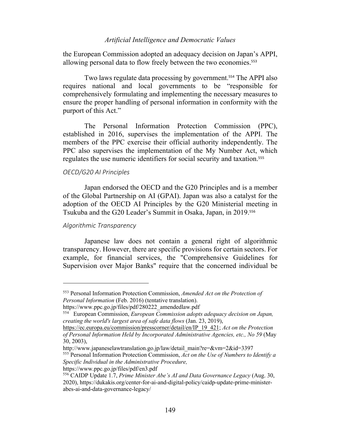the European Commission adopted an adequacy decision on Japan's APPI, allowing personal data to flow freely between the two economies.<sup>553</sup>

Two laws regulate data processing by government.<sup>554</sup> The APPI also requires national and local governments to be "responsible for comprehensively formulating and implementing the necessary measures to ensure the proper handling of personal information in conformity with the purport of this Act."

The Personal Information Protection Commission (PPC), established in 2016, supervises the implementation of the APPI. The members of the PPC exercise their official authority independently. The PPC also supervises the implementation of the My Number Act, which regulates the use numeric identifiers for social security and taxation.<sup>555</sup>

# *OECD/G20 AI Principles*

Japan endorsed the OECD and the G20 Principles and is a member of the Global Partnership on AI (GPAI). Japan was also a catalyst for the adoption of the OECD AI Principles by the G20 Ministerial meeting in Tsukuba and the G20 Leader's Summit in Osaka, Japan, in 2019.<sup>556</sup>

#### *Algorithmic Transparency*

Japanese law does not contain a general right of algorithmic transparency. However, there are specific provisions for certain sectors. For example, for financial services, the "Comprehensive Guidelines for Supervision over Major Banks" require that the concerned individual be

<sup>553</sup> Personal Information Protection Commission, *Amended Act on the Protection of Personal Information* (Feb. 2016) (tentative translation).

https://www.ppc.go.jp/files/pdf/280222\_amendedlaw.pdf

<sup>554</sup> European Commission, *European Commission adopts adequacy decision on Japan, creating the world's largest area of safe data flows* (Jan. 23, 2019),

https://ec.europa.eu/commission/presscorner/detail/en/IP\_19\_421; *Act on the Protection of Personal Information Held by Incorporated Administrative Agencies, etc., No 59* (May 30, 2003),

http://www.japaneselawtranslation.go.jp/law/detail\_main?re=&vm=2&id=3397

<sup>555</sup> Personal Information Protection Commission, *Act on the Use of Numbers to Identify a Specific Individual in the Administrative Procedure,*

https://www.ppc.go.jp/files/pdf/en3.pdf

<sup>556</sup> CAIDP Update 1.7, *Prime Minister Abe's AI and Data Governance Legacy* (Aug. 30, 2020), https://dukakis.org/center-for-ai-and-digital-policy/caidp-update-prime-ministerabes-ai-and-data-governance-legacy/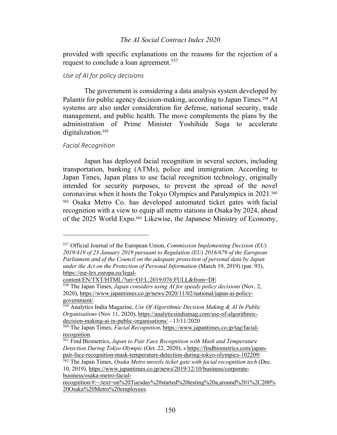provided with specific explanations on the reasons for the rejection of a request to conclude a loan agreement.<sup>557</sup>

## *Use of AI for policy decisions*

The government is considering a data analysis system developed by Palantir for public agency decision-making, according to Japan Times.<sup>558</sup> AI systems are also under consideration for defense, national security, trade management, and public health. The move complements the plans by the administration of Prime Minister Yoshihide Suga to accelerate digitalization.<sup>559</sup>

#### *Facial Recognition*

Japan has deployed facial recognition in several sectors, including transportation, banking (ATMs), police and immigration. According to Japan Times, Japan plans to use facial recognition technology, originally intended for security purposes, to prevent the spread of the novel coronavirus when it hosts the Tokyo Olympics and Paralympics in 2021.<sup>560</sup> <sup>561</sup> Osaka Metro Co. has developed automated ticket gates with facial recognition with a view to equip all metro stations in Osaka by 2024, ahead of the 2025 World Expo. <sup>562</sup> Likewise, the Japanese Ministry of Economy,

content/EN/TXT/HTML/?uri=OJ:L:2019:076:FULL&from=DE

<sup>557</sup> Official Journal of the European Union, *Commission Implementing Decision (EU) 2019/419 of 23 January 2019 pursuant to Regulation (EU) 2016/679 of the European Parliament and of the Council on the adequate protection of personal data by Japan under the Act on the Protection of Personal Information* (March 19, 2019) (par. 93), https://eur-lex.europa.eu/legal-

<sup>558</sup> The Japan Times, *Japan considers using AI for speedy policy decisions* (Nov. 2, 2020), https://www.japantimes.co.jp/news/2020/11/02/national/japan-ai-policygovernment/.

<sup>559</sup> Analytics India Magazine, *Use Of Algorithmic Decision Making & AI In Public Organisations* (Nov 11, 2020), https://analyticsindiamag.com/use-of-algorithmicdecision-making-ai-in-public-organisations/ - 13/11/2020

<sup>560</sup> The Japan Times, *Facial Recognition*, https://www.japantimes.co.jp/tag/facialrecognition.

<sup>561</sup> Find Biometrics, *Japan to Pair Face Recognition with Mask and Temperature Detection During Tokyo Olympic* (Oct. 22, 2020), s https://findbiometrics.com/japanpair-face-recognition-mask-temperature-detection-during-tokyo-olympics-102209/

<sup>562</sup> The Japan Times, *Osaka Metro unveils ticket gate with facial recognition tech* (Dec. 10, 2019), https://www.japantimes.co.jp/news/2019/12/10/business/corporatebusiness/osaka-metro-facial-

recognition/#:~:text=on%20Tuesday%20started%20testing%20a,around%201%2C200% 20Osaka%20Metro%20employees.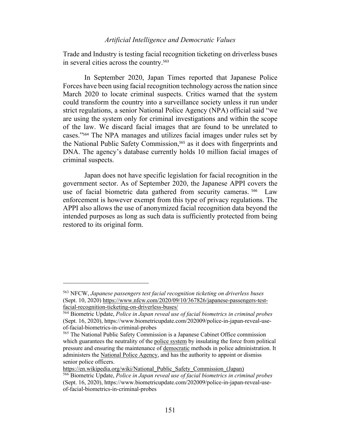Trade and Industry is testing facial recognition ticketing on driverless buses in several cities across the country.<sup>563</sup>

In September 2020, Japan Times reported that Japanese Police Forces have been using facial recognition technology across the nation since March 2020 to locate criminal suspects. Critics warned that the system could transform the country into a surveillance society unless it run under strict regulations, a senior National Police Agency (NPA) official said "we are using the system only for criminal investigations and within the scope of the law. We discard facial images that are found to be unrelated to cases."<sup>564</sup> The NPA manages and utilizes facial images under rules set by the National Public Safety Commission, <sup>565</sup> as it does with fingerprints and DNA. The agency's database currently holds 10 million facial images of criminal suspects.

Japan does not have specific legislation for facial recognition in the government sector. As of September 2020, the Japanese APPI covers the use of facial biometric data gathered from security cameras.<sup>566</sup> Law enforcement is however exempt from this type of privacy regulations. The APPI also allows the use of anonymized facial recognition data beyond the intended purposes as long as such data is sufficiently protected from being restored to its original form.

<sup>563</sup> NFCW, *Japanese passengers test facial recognition ticketing on driverless buses* (Sept. 10, 2020) https://www.nfcw.com/2020/09/10/367826/japanese-passengers-testfacial-recognition-ticketing-on-driverless-buses/

<sup>564</sup> Biometric Update, *Police in Japan reveal use of facial biometrics in criminal probes* (Sept. 16, 2020), https://www.biometricupdate.com/202009/police-in-japan-reveal-useof-facial-biometrics-in-criminal-probes

<sup>565</sup> The National Public Safety Commission is a Japanese Cabinet Office commission which guarantees the neutrality of the police system by insulating the force from political pressure and ensuring the maintenance of democratic methods in police administration. It administers the National Police Agency, and has the authority to appoint or dismiss senior police officers.

https://en.wikipedia.org/wiki/National\_Public\_Safety\_Commission (Japan)

<sup>566</sup> Biometric Update, *Police in Japan reveal use of facial biometrics in criminal probes* (Sept. 16, 2020), https://www.biometricupdate.com/202009/police-in-japan-reveal-useof-facial-biometrics-in-criminal-probes